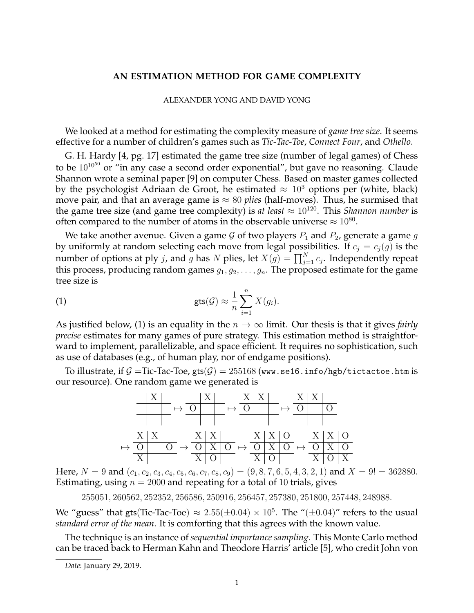## **AN ESTIMATION METHOD FOR GAME COMPLEXITY**

## ALEXANDER YONG AND DAVID YONG

We looked at a method for estimating the complexity measure of *game tree size*. It seems effective for a number of children's games such as *Tic-Tac-Toe*, *Connect Four*, and *Othello*.

G. H. Hardy [4, pg. 17] estimated the game tree size (number of legal games) of Chess to be  $10^{10^{50}}$  or "in any case a second order exponential", but gave no reasoning. Claude Shannon wrote a seminal paper [9] on computer Chess. Based on master games collected by the psychologist Adriaan de Groot, he estimated  $\approx 10^3$  options per (white, black) move pair, and that an average game is  $\approx 80$  *plies* (half-moves). Thus, he surmised that the game tree size (and game tree complexity) is *at least*  $\approx 10^{120}$ . This *Shannon number* is often compared to the number of atoms in the observable universe  $\approx 10^{80}$ .

We take another avenue. Given a game G of two players  $P_1$  and  $P_2$ , generate a game g by uniformly at random selecting each move from legal possibilities. If  $c_j = c_j(g)$  is the number of options at ply  $j$ , and  $g$  has  $N$  plies, let  $X(g)=\prod_{j=1}^N c_j.$  Independently repeat this process, producing random games  $g_1, g_2, \ldots, g_n$ . The proposed estimate for the game tree size is

(1) 
$$
\text{gts}(\mathcal{G}) \approx \frac{1}{n} \sum_{i=1}^{n} X(g_i).
$$

As justified below, (1) is an equality in the  $n \to \infty$  limit. Our thesis is that it gives *fairly precise* estimates for many games of pure strategy. This estimation method is straightforward to implement, parallelizable, and space efficient. It requires no sophistication, such as use of databases (e.g., of human play, nor of endgame positions).

To illustrate, if  $\mathcal{G} =$ Tic-Tac-Toe, gts $(\mathcal{G}) = 255168$  (www.se16.info/hgb/tictactoe.htm is our resource). One random game we generated is



Here,  $N = 9$  and  $(c_1, c_2, c_3, c_4, c_5, c_6, c_7, c_8, c_9) = (9, 8, 7, 6, 5, 4, 3, 2, 1)$  and  $X = 9! = 362880$ . Estimating, using  $n = 2000$  and repeating for a total of 10 trials, gives

255051, 260562, 252352, 256586, 250916, 256457, 257380, 251800, 257448, 248988.

We "guess" that gts(Tic-Tac-Toe)  $\approx 2.55(\pm 0.04) \times 10^5$ . The "( $\pm 0.04$ )" refers to the usual *standard error of the mean*. It is comforting that this agrees with the known value.

The technique is an instance of *sequential importance sampling*. This Monte Carlo method can be traced back to Herman Kahn and Theodore Harris' article [5], who credit John von

*Date*: January 29, 2019.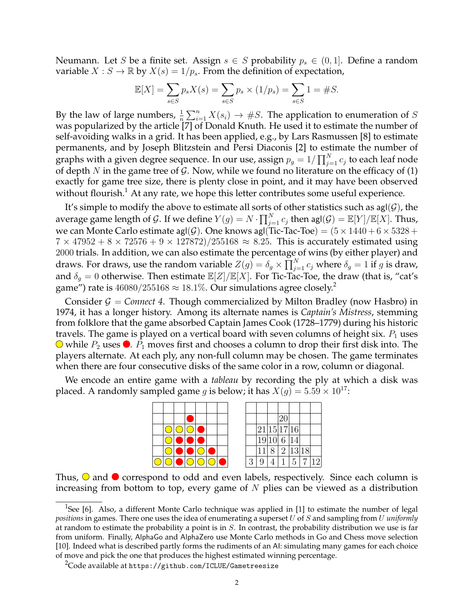Neumann. Let S be a finite set. Assign  $s \in S$  probability  $p_s \in (0,1]$ . Define a random variable  $X : S \to \mathbb{R}$  by  $X(s) = 1/p_s$ . From the definition of expectation,

$$
\mathbb{E}[X] = \sum_{s \in S} p_s X(s) = \sum_{s \in S} p_s \times (1/p_s) = \sum_{s \in S} 1 = \#S.
$$

By the law of large numbers,  $\frac{1}{n} \sum_{i=1}^{n} X(s_i) \rightarrow \#S$ . The application to enumeration of S was popularized by the article  $[7]$  of Donald Knuth. He used it to estimate the number of self-avoiding walks in a grid. It has been applied, e.g., by Lars Rasmussen [8] to estimate permanents, and by Joseph Blitzstein and Persi Diaconis [2] to estimate the number of graphs with a given degree sequence. In our use, assign  $p_g = 1/\prod_{j=1}^N c_j$  to each leaf node of depth  $N$  in the game tree of  $G$ . Now, while we found no literature on the efficacy of (1) exactly for game tree size, there is plenty close in point, and it may have been observed without flourish.<sup>1</sup> At any rate, we hope this letter contributes some useful experience.

It's simple to modify the above to estimate all sorts of other statistics such as  $\text{agI}(\mathcal{G})$ , the average game length of  $\mathcal G.$  If we define  $Y(g)=N\cdot \prod_{j=1}^N c_j$  then agl $(\mathcal G)=\mathbb E[Y]/\mathbb E[X].$  Thus, we can Monte Carlo estimate agl(G). One knows agl(Tic-Tac-Toe) =  $(5 \times 1440 + 6 \times 5328 +$  $7 \times 47952 + 8 \times 72576 + 9 \times 127872$ )/255168  $\approx$  8.25. This is accurately estimated using 2000 trials. In addition, we can also estimate the percentage of wins (by either player) and draws. For draws, use the random variable  $Z(g)=\delta_g\times \prod_{j=1}^N c_j$  where  $\delta_g=1$  if  $g$  is draw, and  $\delta_g = 0$  otherwise. Then estimate  $\mathbb{E}[Z]/\mathbb{E}[X]$ . For Tic-Tac-Toe, the draw (that is, "cat's game") rate is  $46080/255168 \approx 18.1\%$ . Our simulations agree closely.<sup>2</sup>

Consider  $G =$  *Connect 4*. Though commercialized by Milton Bradley (now Hasbro) in 1974, it has a longer history. Among its alternate names is *Captain's Mistress*, stemming from folklore that the game absorbed Captain James Cook (1728–1779) during his historic travels. The game is played on a vertical board with seven columns of height six.  $P_1$  uses  $\bigcirc$  while  $P_2$  uses  $\bigcirc$ .  $P_1$  moves first and chooses a column to drop their first disk into. The players alternate. At each ply, any non-full column may be chosen. The game terminates when there are four consecutive disks of the same color in a row, column or diagonal.

We encode an entire game with a *tableau* by recording the ply at which a disk was placed. A randomly sampled game g is below; it has  $X(g) = 5.59 \times 10^{17}$ :



Thus,  $\odot$  and  $\odot$  correspond to odd and even labels, respectively. Since each column is increasing from bottom to top, every game of  $N$  plies can be viewed as a distribution

<sup>&</sup>lt;sup>1</sup>See [6]. Also, a different Monte Carlo technique was applied in [1] to estimate the number of legal *positions* in games. There one uses the idea of enumerating a superset U of S and sampling from U *uniformly* at random to estimate the probability a point is in  $S$ . In contrast, the probability distribution we use is far from uniform. Finally, AlphaGo and AlphaZero use Monte Carlo methods in Go and Chess move selection [10]. Indeed what is described partly forms the rudiments of an AI: simulating many games for each choice of move and pick the one that produces the highest estimated winning percentage.

<sup>&</sup>lt;sup>2</sup>Code available at https://github.com/ICLUE/Gametreesize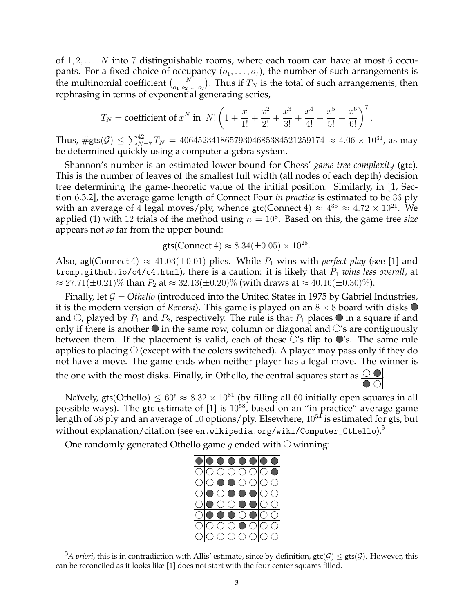of  $1, 2, \ldots, N$  into 7 distinguishable rooms, where each room can have at most 6 occupants. For a fixed choice of occupancy  $(o_1, \ldots, o_7)$ , the number of such arrangements is the multinomial coefficient  $\binom{N}{o_1 o_2 ... o_7}$ . Thus if  $T_N$  is the total of such arrangements, then rephrasing in terms of exponential generating series,

$$
T_N = \text{coefficient of } x^N \text{ in } N! \left( 1 + \frac{x}{1!} + \frac{x^2}{2!} + \frac{x^3}{3!} + \frac{x^4}{4!} + \frac{x^5}{5!} + \frac{x^6}{6!} \right)^7
$$

.

Thus,  $\#\mathsf{gts}(\mathcal{G}) \leq \sum_{N=7}^{42} T_N = 40645234186579304685384521259174 \approx 4.06 \times 10^{31}$ , as may be determined quickly using a computer algebra system.

Shannon's number is an estimated lower bound for Chess' *game tree complexity* (gtc). This is the number of leaves of the smallest full width (all nodes of each depth) decision tree determining the game-theoretic value of the initial position. Similarly, in [1, Section 6.3.2], the average game length of Connect Four *in practice* is estimated to be 36 ply with an average of 4 legal moves/ply, whence gtc(Connect 4)  $\approx 4^{36} \approx 4.72 \times 10^{21}$ . We applied (1) with 12 trials of the method using  $n = 10<sup>8</sup>$ . Based on this, the game tree *size* appears not *so* far from the upper bound:

$$
gts
$$
(Connect 4)  $\approx 8.34(\pm 0.05) \times 10^{28}$ .

Also, agl(Connect 4)  $\approx$  41.03( $\pm$ 0.01) plies. While  $P_1$  wins with *perfect play* (see [1] and tromp.github.io/c4/c4.html), there is a caution: it is likely that  $P_1$  *wins less overall*, at  $\approx 27.71(\pm 0.21)\%$  than  $P_2$  at  $\approx 32.13(\pm 0.20)\%$  (with draws at  $\approx 40.16(\pm 0.30)\%$ ).

Finally, let  $G = O$ *thello* (introduced into the United States in 1975 by Gabriel Industries, it is the modern version of *Reversi*). This game is played on an  $8 \times 8$  board with disks  $\bullet$ and  $\circlearrowright$ , played by  $P_1$  and  $P_2$ , respectively. The rule is that  $P_1$  places  $\bullet$  in a square if and only if there is another  $\bullet$  in the same row, column or diagonal and  $\circ$ 's are contiguously between them. If the placement is valid, each of these  $\circ$ 's flip to  $\bullet$ 's. The same rule applies to placing  $\bigcirc$  (except with the colors switched). A player may pass only if they do not have a move. The game ends when neither player has a legal move. The winner is the one with the most disks. Finally, in Othello, the central squares start as  $\bigcirc$ 

Naïvely, gts(Othello)  $\leq 60! \approx 8.32 \times 10^{81}$  (by filling all 60 initially open squares in all possible ways). The gtc estimate of  $[1]$  is  $10^{58}$ , based on an "in practice" average game length of 58 ply and an average of 10 options/ply. Elsewhere,  $10^{54}$  is estimated for gts, but without explanation/citation (see en.wikipedia.org/wiki/Computer\_Othello).<sup>3</sup>

One randomly generated Othello game g ended with  $\circlearrowright$  winning:



<sup>&</sup>lt;sup>3</sup>A priori, this is in contradiction with Allis' estimate, since by definition,  $\text{gtc}(\mathcal{G}) \leq \text{gtc}(\mathcal{G})$ . However, this can be reconciled as it looks like [1] does not start with the four center squares filled.